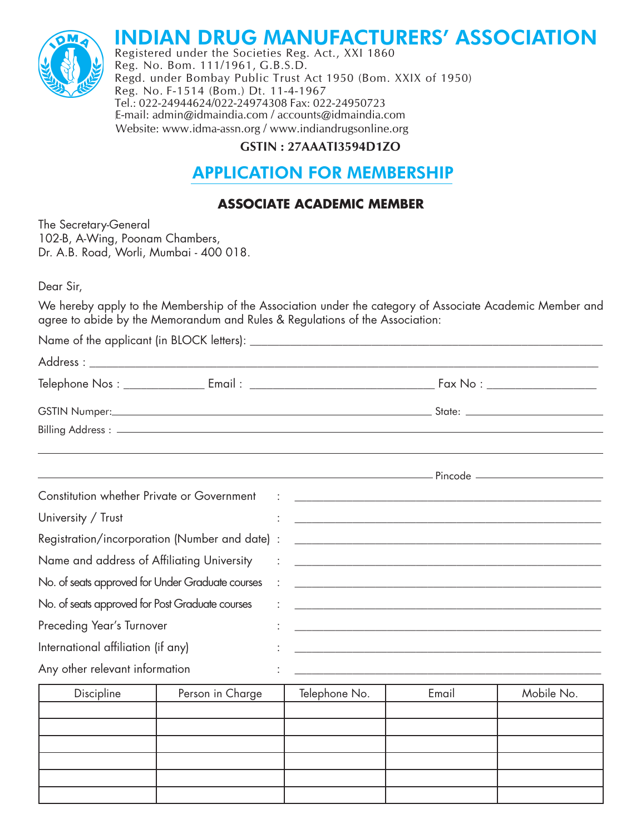# **INDIAN DRUG MANUFACTURERS** INDIAN DRUG MANUFACTURERS' ASSOCIATION<br>Registered under the Societies Reg. Act., XXI 1860<br>Reg. No. Bom. 111/1961, G.B.S.D.



INDIAN DRUG MANUFACTURERS' ASSOCIATION<br>Registered under the Societies Reg. Act., XXI 1860<br>Reg. No. Bom. 111/1961, G.B.S.D.<br>Regd. under Bombay Public Trust Act 1950 (Bom. XXIX of 1950) leg. No. Bom. 111/1961, G.B.S.D.<br>legd. under Bombay Public Trust Act 1950 (Bom. XXIX of 1950)<br>leg. No. F-1514 (Bom.) Dt. 11-4-1967<br><sup>-</sup>el.: 022-24944624/022-24974308 Fax: 022-24950723 Reg. No. F-1514 (Bom.) Dt. 11-4-1967<br>Tel.: 022-24944624/022-24974308 Fax: 022-24950723<br>E-mail: admin@idmaindia.com / accounts@idmaindia.com<br>Website: www.idma-assn.org / www.indiandrugsonline.org Website: www.idma-assn.org / www.indiandrugsonline.org<br>  $\frac{1}{2}$ **INDIAN DRUG MANUFACTURERS ASSOCIATION**<br>Registered under the Societies Reg. Act., XXI 1860<br>Reg. No. Bom. 111/1961, C. R.S.D. Registered under the Societies Reg. Act., XXI 1860<br>Reg. No. Bom. 111/1961, G.B.S.D.<br>Regd. under Bombay Public Trust Act 1950 (Bom. XXIX of 1950)<br>Reg. No. F-1514 (Bom.) Dt. 11-4-1967 Tel.: 022-24944624/022-24974308 Fax: 022-24950723 Registered under the Societies Reg. Act., XXI 1860<br>Reg. No. Bom. 111/1961, G.B.S.D.<br>Bogd, under Bombay Bublic Trust Act 1950 (Bom, XXIX of 1950) Reg. No. Bom. 111/1961, G.B.S.D.<br>Regd. under Bombay Public Trust Act 1950 (Bom. XXIX of 1950)<br>Reg. No. F-1514 (Bom.) Dt. 11-4-1967<br>Tel.: 022-24944624/022-24974308 Fax: 022-24950723 Registered under the Societies Reg. Act., XXI 1860<br>Reg. No. Bom. 111/1961, G.B.S.D.<br>Regd. under Bombay Public Trust Act 1950 (Bom. XXIX of 1950)<br>Reg. No. F-1514 (Bom.) Dt. 11-4-1967 Regd. under Bombay Public Trust Act 1950 (Bom. XXIX of 1950)<br>Reg. No. F-1514 (Bom.) Dt. 11-4-1967<br>Tel.: 022-24944624/022-24974308 Fax: 022-24950723<br>E-mail: admin@idmaindia.com / accounts@idmaindia.com  $\overline{c}$ 

#### GSTIN: 27AAATI3594D1ZO WEBSING MANUFACTURERS MANUFACTURERS OF THE LONG CONDUCT OF THE LONG CONTROL OF THE LONG MANUFACTURERS OF THE LONG OF THE LONG MANUFACTURERS OF THE LONG MANUFACTURERS OF THE LONG MANUFACTURE OF THE LONG MANUFACTURE OF THE L  $\overline{a}$  $838324B123394B12O$  $CSTIN \cdot 27A A AT 1359 A D 170$   $U$ 31111 :  $27$ AAA113374D12O

### **APPLICATION FOR MEMBERS** <u>APPLI</u>  $\overline{\phantom{a}}$ **APPLICATION FOR MEMBERSHIP** GSTIN : 27AAATI3594D1ZO<br> **APPLICATION FOR MEMBERSHIP APPLICATION FOR MEMBERSHIP**<br>ASSOCIATE ACADEMIC MEMBER **-** APPLICATION FOR MEMBERSHIP

#### !""! \$% \$
""\$' **ASS ATTEICATION TOR MEMBERSTIN**<br>ASSOCIATE ACADEMIC MEMBER **ASSOCIATE ACADEMIC MEMBER**  $\mathsf{AS}$  $\overline{X}$   $\overline{X}$   $\overline{X}$   $\overline{X}$   $\overline{X}$   $\overline{X}$   $\overline{X}$   $\overline{X}$   $\overline{X}$   $\overline{X}$   $\overline{X}$   $\overline{X}$   $\overline{X}$   $\overline{X}$   $\overline{X}$   $\overline{X}$   $\overline{X}$   $\overline{X}$   $\overline{X}$   $\overline{X}$   $\overline{X}$   $\overline{X}$   $\overline{X}$   $\overline{X}$   $\overline{$

 $\overline{1}$  c  $\overline{2}$  -  $\overline{2}$  $\sum_{n=0}^{\infty}$  Dr. A.B. Road, Mumbai -  $\sum_{n=0}^{\infty}$  $\mathbf{r}$   $\mathbf{r}$   $\mathbf{r}$   $\mathbf{r}$   $\mathbf{r}$ rne secretary-General<br>102-B, A-Wing, Poonam Chambers Dr. A.B. Road, Worli, Mumbai - 400 018. \$)##)"\$ \$%#"&
%%"&"!"\$&""(!&"\$)!\$&")& "\$!' !'%-THE OECL<br>TOO B , Poonam Chambers,  $\mathcal{A}$ The Secretary-General<br>——————————————————— zenerai<br>Decenius Chambers - -APPLICATION FOR MEMBERSHIP Dr. A.B. Road, Worli, Mumbai - 400 018. -Website: www.idma-assn.org / www.indiandrugsonline.org 102-B, A-Wing, Poonam Chambers, 
!""! \$% \$
""\$'

 $\Delta$  Dear Sir. Dear Sir, compared to the set of the set of the set of the set of the set of the set of the set of the set of the set of the set of the set of the set of the set of the set of the set of the set of the set of the set of th .<br>Dear Sir,  $\mathcal{L} = \mathcal{L} \mathcal{L}$  ${\sf Dear}$  Sir,

.<br>We hereby apply to the Membership of the Association under the category of Associate Academic Member o agree to abide by the Memorandum and Rules & Regulations of the Association: Dear Sir,<br>We hereby apply to the Membership of the Association under the category of Associate Academic Member and agree to abide by the Memorandum and We hereby apply to the Membership of the Association under the category of Associate Academic Member o<br>agree to abide by the Memorandum and Rules & Regulations of the Association: eby upply to the membership of the Association bilder the category of Ass<br>carbide by the Memergradum and Dules & Demulations of the Association. ocidie Acquerinc *i*vieniber d -#" eby upply to the Membership of the Association under the category of Associate Acquerinc Member (<br>O abide by the Memorandum and Rules & Requlations of the Association:

| Constitution whether Private or Government (2008) 2012 2020 2021 2030 2031 2032 2033 2040 2041 2050 2051 2052 |                  |  |                                                                                                                             |       |  |            |
|---------------------------------------------------------------------------------------------------------------|------------------|--|-----------------------------------------------------------------------------------------------------------------------------|-------|--|------------|
| University / Trust                                                                                            |                  |  |                                                                                                                             |       |  |            |
|                                                                                                               |                  |  |                                                                                                                             |       |  |            |
| Name and address of Affiliating University                                                                    |                  |  | <u> 1986 - Johann Barn, mars ann an t-Amhain ann an t-Amhain ann an t-Amhain ann an t-Amhain ann an t-Amhain ann an t-A</u> |       |  |            |
| No. of seats approved for Under Graduate courses                                                              |                  |  |                                                                                                                             |       |  |            |
| No. of seats approved for Post Graduate courses                                                               |                  |  |                                                                                                                             |       |  |            |
| Preceding Year's Turnover                                                                                     |                  |  |                                                                                                                             |       |  |            |
| International affiliation (if any)                                                                            |                  |  | $\ddot{\cdot}$ . The contribution of the contribution of the contribution of $\dot{\cdot}$                                  |       |  |            |
| Any other relevant information                                                                                |                  |  |                                                                                                                             |       |  |            |
| Discipline                                                                                                    | Person in Charge |  | Telephone No.                                                                                                               | Email |  | Mobile No. |

| Discipline | Person in Charge | Telephone No. | Email | Mobile No. |
|------------|------------------|---------------|-------|------------|
|            |                  |               |       |            |
|            |                  |               |       |            |
|            |                  |               |       |            |
|            |                  |               |       |            |
|            |                  |               |       |            |
|            |                  |               |       |            |
|            |                  |               |       |            |